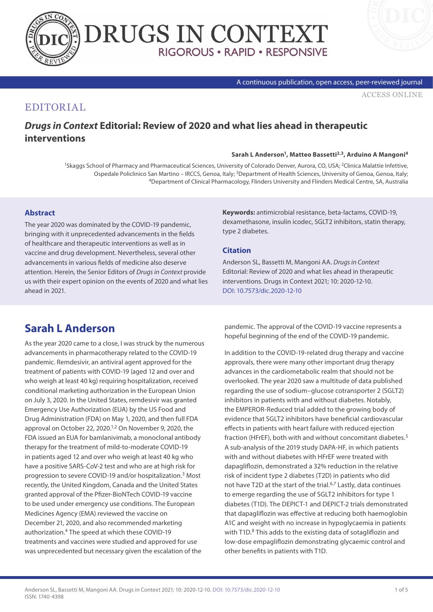



#### A continuous publication, open access, peer-reviewed journal

[ACCESS ONLINE](https://www.drugsincontext.com/drugs-in-context-editorial:-review-of-2020-and-what-lies-ahead-in-therapeutic-interventions)

## EDITORIAL

## *Drugs in Context* **Editorial: Review of 2020 and what lies ahead in therapeutic interventions**

### **Sarah L Anderson1, Matteo Bassetti2,3, Arduino A Mangoni4**

1Skaggs School of Pharmacy and Pharmaceutical Sciences, University of Colorado Denver, Aurora, CO, USA; 2Clinica Malattie Infettive, Ospedale Policlinico San Martino – IRCCS, Genoa, Italy; 3Department of Health Sciences, University of Genoa, Genoa, Italy; 4Department of Clinical Pharmacology, Flinders University and Flinders Medical Centre, SA, Australia

### **Abstract**

The year 2020 was dominated by the COVID-19 pandemic, bringing with it unprecedented advancements in the fields of healthcare and therapeutic interventions as well as in vaccine and drug development. Nevertheless, several other advancements in various fields of medicine also deserve attention. Herein, the Senior Editors of *Drugs in Context* provide us with their expert opinion on the events of 2020 and what lies ahead in 2021.

**Keywords:** antimicrobial resistance, beta-lactams, COVID-19, dexamethasone, insulin icodec, SGLT2 inhibitors, statin therapy, type 2 diabetes.

### **Citation**

Anderson SL, Bassetti M, Mangoni AA. *Drugs in Context* Editorial: Review of 2020 and what lies ahead in therapeutic interventions. Drugs in Context 2021; 10: 2020-12-10. [DOI: 10.7573/dic.2020-12-10](http://doi.org/10.7573/dic.2020-12-10)

# **Sarah L Anderson**

As the year 2020 came to a close, I was struck by the numerous advancements in pharmacotherapy related to the COVID-19 pandemic. Remdesivir, an antiviral agent approved for the treatment of patients with COVID-19 (aged 12 and over and who weigh at least 40 kg) requiring hospitalization, received conditional marketing authorization in the European Union on July 3, 2020. In the United States, remdesivir was granted Emergency Use Authorization (EUA) by the US Food and Drug Administration (FDA) on May 1, 2020, and then full FDA approval on October 22, 2020.1,2 On November 9, 2020, the FDA issued an EUA for bamlanivimab, a monoclonal antibody therapy for the treatment of mild-to-moderate COVID-19 in patients aged 12 and over who weigh at least 40 kg who have a positive SARS-CoV-2 test and who are at high risk for progression to severe COVID-19 and/or hospitalization.3 Most recently, the United Kingdom, Canada and the United States granted approval of the Pfizer-BioNTech COVID-19 vaccine to be used under emergency use conditions. The European Medicines Agency (EMA) reviewed the vaccine on December 21, 2020, and also recommended marketing authorization.4 The speed at which these COVID-19 treatments and vaccines were studied and approved for use was unprecedented but necessary given the escalation of the

pandemic. The approval of the COVID-19 vaccine represents a hopeful beginning of the end of the COVID-19 pandemic.

In addition to the COVID-19-related drug therapy and vaccine approvals, there were many other important drug therapy advances in the cardiometabolic realm that should not be overlooked. The year 2020 saw a multitude of data published regarding the use of sodium–glucose cotransporter 2 (SGLT2) inhibitors in patients with and without diabetes. Notably, the EMPEROR-Reduced trial added to the growing body of evidence that SGLT2 inhibitors have beneficial cardiovascular effects in patients with heart failure with reduced ejection fraction (HFrEF), both with and without concomitant diabetes.5 A sub-analysis of the 2019 study DAPA-HF, in which patients with and without diabetes with HFrEF were treated with dapagliflozin, demonstrated a 32% reduction in the relative risk of incident type 2 diabetes (T2D) in patients who did not have T2D at the start of the trial.<sup>6,7</sup> Lastly, data continues to emerge regarding the use of SGLT2 inhibitors for type 1 diabetes (T1D). The DEPICT-1 and DEPICT-2 trials demonstrated that dapagliflozin was effective at reducing both haemoglobin A1C and weight with no increase in hypoglycaemia in patients with T1D.<sup>8</sup> This adds to the existing data of sotagliflozin and low-dose empagliflozin demonstrating glycaemic control and other benefits in patients with T1D.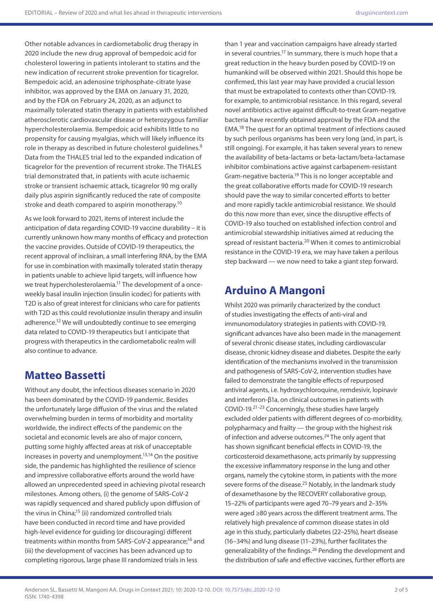Other notable advances in cardiometabolic drug therapy in 2020 include the new drug approval of bempedoic acid for cholesterol lowering in patients intolerant to statins and the new indication of recurrent stroke prevention for ticagrelor. Bempedoic acid, an adenosine triphosphate-citrate lyase inhibitor, was approved by the EMA on January 31, 2020, and by the FDA on February 24, 2020, as an adjunct to maximally tolerated statin therapy in patients with established atherosclerotic cardiovascular disease or heterozygous familiar hypercholesterolaemia. Bempedoic acid exhibits little to no propensity for causing myalgias, which will likely influence its role in therapy as described in future cholesterol quidelines.<sup>9</sup> Data from the THALES trial led to the expanded indication of ticagrelor for the prevention of recurrent stroke. The THALES trial demonstrated that, in patients with acute ischaemic stroke or transient ischaemic attack, ticagrelor 90 mg orally daily plus aspirin significantly reduced the rate of composite stroke and death compared to aspirin monotherapy.<sup>10</sup>

As we look forward to 2021, items of interest include the anticipation of data regarding COVID-19 vaccine durability – it is currently unknown how many months of efficacy and protection the vaccine provides. Outside of COVID-19 therapeutics, the recent approval of inclisiran, a small interfering RNA, by the EMA for use in combination with maximally tolerated statin therapy in patients unable to achieve lipid targets, will influence how we treat hypercholesterolaemia.<sup>11</sup> The development of a onceweekly basal insulin injection (insulin icodec) for patients with T2D is also of great interest for clinicians who care for patients with T2D as this could revolutionize insulin therapy and insulin adherence.12 We will undoubtedly continue to see emerging data related to COVID-19 therapeutics but I anticipate that progress with therapeutics in the cardiometabolic realm will also continue to advance.

## **Matteo Bassetti**

Without any doubt, the infectious diseases scenario in 2020 has been dominated by the COVID-19 pandemic. Besides the unfortunately large diffusion of the virus and the related overwhelming burden in terms of morbidity and mortality worldwide, the indirect effects of the pandemic on the societal and economic levels are also of major concern, putting some highly affected areas at risk of unacceptable increases in poverty and unemployment.13,14 On the positive side, the pandemic has highlighted the resilience of science and impressive collaborative efforts around the world have allowed an unprecedented speed in achieving pivotal research milestones. Among others, (i) the genome of SARS-CoV-2 was rapidly sequenced and shared publicly upon diffusion of the virus in China;<sup>15</sup> (ii) randomized controlled trials have been conducted in record time and have provided high-level evidence for guiding (or discouraging) different treatments within months from SARS-CoV-2 appearance;16 and (iii) the development of vaccines has been advanced up to completing rigorous, large phase III randomized trials in less

than 1 year and vaccination campaigns have already started in several countries.17 In summary, there is much hope that a great reduction in the heavy burden posed by COVID-19 on humankind will be observed within 2021. Should this hope be confirmed, this last year may have provided a crucial lesson that must be extrapolated to contexts other than COVID-19, for example, to antimicrobial resistance. In this regard, several novel antibiotics active against difficult-to-treat Gram-negative bacteria have recently obtained approval by the FDA and the EMA.18 The quest for an optimal treatment of infections caused by such perilous organisms has been very long (and, in part, is still ongoing). For example, it has taken several years to renew the availability of beta-lactams or beta-lactam/beta-lactamase inhibitor combinations active against carbapenem-resistant Gram-negative bacteria.<sup>19</sup> This is no longer acceptable and the great collaborative efforts made for COVID-19 research should pave the way to similar concerted efforts to better and more rapidly tackle antimicrobial resistance. We should do this now more than ever, since the disruptive effects of COVID-19 also touched on established infection control and antimicrobial stewardship initiatives aimed at reducing the spread of resistant bacteria.<sup>20</sup> When it comes to antimicrobial resistance in the COVID-19 era, we may have taken a perilous step backward — we now need to take a giant step forward.

# **Arduino A Mangoni**

Whilst 2020 was primarily characterized by the conduct of studies investigating the effects of anti-viral and immunomodulatory strategies in patients with COVID-19, significant advances have also been made in the management of several chronic disease states, including cardiovascular disease, chronic kidney disease and diabetes. Despite the early identification of the mechanisms involved in the transmission and pathogenesis of SARS-CoV-2, intervention studies have failed to demonstrate the tangible effects of repurposed antiviral agents, i.e. hydroxychloroquine, remdesivir, lopinavir and interferon-β1a, on clinical outcomes in patients with COVID-19.21–23 Concerningly, these studies have largely excluded older patients with different degrees of co-morbidity, polypharmacy and frailty — the group with the highest risk of infection and adverse outcomes.<sup>24</sup> The only agent that has shown significant beneficial effects in COVID-19, the corticosteroid dexamethasone, acts primarily by suppressing the excessive inflammatory response in the lung and other organs, namely the cytokine storm, in patients with the more severe forms of the disease.<sup>25</sup> Notably, in the landmark study of dexamethasone by the RECOVERY collaborative group, 15–22% of participants were aged 70–79 years and 2–35% were aged ≥80 years across the different treatment arms. The relatively high prevalence of common disease states in old age in this study, particularly diabetes (22–25%), heart disease (16–34%) and lung disease (11–23%), further facilitates the generalizability of the findings.<sup>26</sup> Pending the development and the distribution of safe and effective vaccines, further efforts are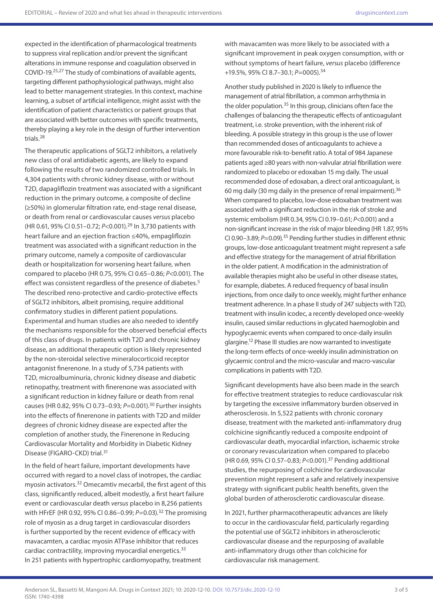expected in the identification of pharmacological treatments to suppress viral replication and/or prevent the significant alterations in immune response and coagulation observed in COVID-19.25,27 The study of combinations of available agents, targeting different pathophysiological pathways, might also lead to better management strategies. In this context, machine learning, a subset of artificial intelligence, might assist with the identification of patient characteristics or patient groups that are associated with better outcomes with specific treatments, thereby playing a key role in the design of further intervention trials.28

The therapeutic applications of SGLT2 inhibitors, a relatively new class of oral antidiabetic agents, are likely to expand following the results of two randomized controlled trials. In 4,304 patients with chronic kidney disease, with or without T2D, dapagliflozin treatment was associated with a significant reduction in the primary outcome, a composite of decline (≥50%) in glomerular filtration rate, end-stage renal disease, or death from renal or cardiovascular causes *versus* placebo (HR 0.61, 95% CI 0.51–0.72; *P*<0.001).29 In 3,730 patients with heart failure and an ejection fraction ≤40%, empagliflozin treatment was associated with a significant reduction in the primary outcome, namely a composite of cardiovascular death or hospitalization for worsening heart failure, when compared to placebo (HR 0.75, 95% CI 0.65–0.86; *P*<0.001). The effect was consistent regardless of the presence of diabetes.<sup>5</sup> The described reno-protective and cardio-protective effects of SGLT2 inhibitors, albeit promising, require additional confirmatory studies in different patient populations. Experimental and human studies are also needed to identify the mechanisms responsible for the observed beneficial effects of this class of drugs. In patients with T2D and chronic kidney disease, an additional therapeutic option is likely represented by the non-steroidal selective mineralocorticoid receptor antagonist finerenone. In a study of 5,734 patients with T2D, microalbuminuria, chronic kidney disease and diabetic retinopathy, treatment with finerenone was associated with a significant reduction in kidney failure or death from renal causes (HR 0.82, 95% CI 0.73–0.93; *P*=0.001).30 Further insights into the effects of finerenone in patients with T2D and milder degrees of chronic kidney disease are expected after the completion of another study, the Finerenone in Reducing Cardiovascular Mortality and Morbidity in Diabetic Kidney Disease (FIGARO-CKD) trial.31

In the field of heart failure, important developments have occurred with regard to a novel class of inotropes, the cardiac myosin activators.32 Omecamtiv mecarbil, the first agent of this class, significantly reduced, albeit modestly, a first heart failure event or cardiovascular death *versus* placebo in 8,256 patients with HFrEF (HR 0.92, 95% CI 0.86-0.99; *P*=0.03).<sup>32</sup> The promising role of myosin as a drug target in cardiovascular disorders is further supported by the recent evidence of efficacy with mavacamten, a cardiac myosin ATPase inhibitor that reduces cardiac contractility, improving myocardial energetics.<sup>33</sup> In 251 patients with hypertrophic cardiomyopathy, treatment

with mavacamten was more likely to be associated with a significant improvement in peak oxygen consumption, with or without symptoms of heart failure, *versus* placebo (difference +19.5%, 95% CI 8.7–30.1; *P*=0005).34

Another study published in 2020 is likely to influence the management of atrial fibrillation, a common arrhythmia in the older population.<sup>35</sup> In this group, clinicians often face the challenges of balancing the therapeutic effects of anticoagulant treatment, i.e. stroke prevention, with the inherent risk of bleeding. A possible strategy in this group is the use of lower than recommended doses of anticoagulants to achieve a more favourable risk-to-benefit ratio. A total of 984 Japanese patients aged ≥80 years with non-valvular atrial fibrillation were randomized to placebo or edoxaban 15 mg daily. The usual recommended dose of edoxaban, a direct oral anticoagulant, is 60 mg daily (30 mg daily in the presence of renal impairment).36 When compared to placebo, low-dose edoxaban treatment was associated with a significant reduction in the risk of stroke and systemic embolism (HR 0.34, 95% CI 0.19–0.61; *P*<0.001) and a non-significant increase in the risk of major bleeding (HR 1.87, 95% CI 0.90–3.89; *P*=0.09).35 Pending further studies in different ethnic groups, low-dose anticoagulant treatment might represent a safe and effective strategy for the management of atrial fibrillation in the older patient. A modification in the administration of available therapies might also be useful in other disease states, for example, diabetes. A reduced frequency of basal insulin injections, from once daily to once weekly, might further enhance treatment adherence. In a phase II study of 247 subjects with T2D, treatment with insulin icodec, a recently developed once-weekly insulin, caused similar reductions in glycated haemoglobin and hypoglycaemic events when compared to once-daily insulin glargine.12 Phase III studies are now warranted to investigate the long-term effects of once-weekly insulin administration on glycaemic control and the micro-vascular and macro-vascular complications in patients with T2D.

Significant developments have also been made in the search for effective treatment strategies to reduce cardiovascular risk by targeting the excessive inflammatory burden observed in atherosclerosis. In 5,522 patients with chronic coronary disease, treatment with the marketed anti-inflammatory drug colchicine significantly reduced a composite endpoint of cardiovascular death, myocardial infarction, ischaemic stroke or coronary revascularization when compared to placebo (HR 0.69, 95% CI 0.57–0.83; *P*<0.001).37 Pending additional studies, the repurposing of colchicine for cardiovascular prevention might represent a safe and relatively inexpensive strategy with significant public health benefits, given the global burden of atherosclerotic cardiovascular disease.

In 2021, further pharmacotherapeutic advances are likely to occur in the cardiovascular field, particularly regarding the potential use of SGLT2 inhibitors in atherosclerotic cardiovascular disease and the repurposing of available anti-inflammatory drugs other than colchicine for cardiovascular risk management.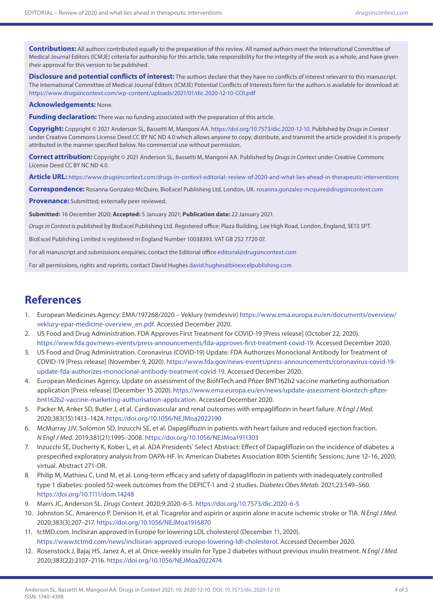**Contributions:** All authors contributed equally to the preparation of this review. All named authors meet the International Committee of Medical Journal Editors (ICMJE) criteria for authorship for this article, take responsibility for the integrity of the work as a whole, and have given their approval for this version to be published.

**Disclosure and potential conflicts of interest:** The authors declare that they have no conflicts of interest relevant to this manuscript. The International Committee of Medical Journal Editors (ICMJE) Potential Conflicts of Interests form for the authors is available for download at: <https://www.drugsincontext.com/wp-content/uploads/2021/01/dic.2020-12-10-COI.pdf>

#### **Acknowledgements:** None.

**Funding declaration:** There was no funding associated with the preparation of this article.

**Copyright:** Copyright © 2021 Anderson SL, Bassetti M, Mangoni AA. [https://doi.org/10.7573/dic.2020-12-10.](https://doi.org/10.7573/dic.2020-12-10) Published by *Drugs in Context* under Creative Commons License Deed CC BY NC ND 4.0 which allows anyone to copy, distribute, and transmit the article provided it is properly attributed in the manner specified below. No commercial use without permission.

**Correct attribution:** Copyright © 2021 Anderson SL, Bassetti M, Mangoni AA. Published by *Drugs in Context* under Creative Commons License Deed CC BY NC ND 4.0.

**Article URL:** <https://www.drugsincontext.com/drugs-in-context-editorial:-review-of-2020-and-what-lies-ahead-in-therapeutic-interventions>

**Correspondence:** Rosanna Gonzalez-McQuire, BioExcel Publishing Ltd, London, UK. [rosanna.gonzalez-mcquire@drugsincontext.com](mailto:rosanna.gonzalez-mcquire@drugsincontext.com)

**Provenance:** Submitted; externally peer reviewed.

**Submitted:** 16 December 2020; **Accepted:** 5 January 2021; **Publication date:** 22 January 2021.

*Drugs in Context* is published by BioExcel Publishing Ltd. Registered office: Plaza Building, Lee High Road, London, England, SE13 5PT.

BioExcel Publishing Limited is registered in England Number 10038393. VAT GB 252 7720 07.

For all manuscript and submissions enquiries, contact the Editorial office [editorial@drugsincontext.com](mailto:editorial@drugsincontext.com)

For all permissions, rights and reprints, contact David Hughes [david.hughes@bioexcelpublishing.com](mailto:david.hughes@bioexcelpublishing.com)

## **References**

- 1. European Medicines Agency: EMA/197268/2020 Veklury (remdesivir) [https://www.ema.europa.eu/en/documents/overview/](https://www.ema.europa.eu/en/documents/overview/veklury-epar-medicine-overview_en.pdf) [veklury-epar-medicine-overview\\_en.pdf.](https://www.ema.europa.eu/en/documents/overview/veklury-epar-medicine-overview_en.pdf) Accessed December 2020.
- 2. US Food and Drug Administration. FDA Approves First Treatment for COVID-19 [Press release] (October 22, 2020). <https://www.fda.gov/news-events/press-announcements/fda-approves-first-treatment-covid-19>. Accessed December 2020.
- 3. US Food and Drug Administration. Coronavirus (COVID-19) Update: FDA Authorizes Monoclonal Antibody for Treatment of COVID-19 [Press release] (November 9, 2020). [https://www.fda.gov/news-events/press-announcements/coronavirus-covid-19](https://www.fda.gov/news-events/press-announcements/coronavirus-covid-19-update-fda-authorizes-monoclonal-antibody-treatment-covid-19) [update-fda-authorizes-monoclonal-antibody-treatment-covid-19.](https://www.fda.gov/news-events/press-announcements/coronavirus-covid-19-update-fda-authorizes-monoclonal-antibody-treatment-covid-19) Accessed December 2020.
- 4. European Medicines Agency. Update on assessment of the BioNTech and Pfizer BNT162b2 vaccine marketing authorisation application [Press release] (December 15 2020). [https://www.ema.europa.eu/en/news/update-assessment-biontech-pfizer](https://www.ema.europa.eu/en/news/update-assessment-biontech-pfizer-bnt162b2-vaccine-marketing-authorisation-application)[bnt162b2-vaccine-marketing-authorisation-application](https://www.ema.europa.eu/en/news/update-assessment-biontech-pfizer-bnt162b2-vaccine-marketing-authorisation-application). Accessed December 2020.
- 5. Packer M, Anker SD, Butler J, et al. Cardiovascular and renal outcomes with empagliflozin in heart failure. *N Engl J Med.* 2020;383(15):1413–1424.<https://doi.org/10.1056/NEJMoa2022190>
- 6. McMurray JJV, Solomon SD, Inzucchi SE, et al. Dapagliflozin in patients with heart failure and reduced ejection fraction. *N Engl J Med.* 2019;381(21):1995–2008.<https://doi.org/10.1056/NEJMoa1911303>
- 7. Inzucchi SE, Docherty K, Kober L, et al. ADA Presidents' Select Abstract: Effect of Dapagliflozin on the incidence of diabetes: a prespecified exploratory analysis from DAPA-HF. In: American Diabetes Association 80th Scientific Sessions; June 12–16, 2020; virtual. Abstract 271-OR.
- 8. Philip M, Mathieu C, Lind M, et al. Long-term efficacy and safety of dapagliflozin in patients with inadequately controlled type 1 diabetes: pooled 52-week outcomes from the DEPICT-1 and -2 studies. *Diabetes Obes Metab.* 2021;23:549–560. <https://doi.org/10.1111/dom.14248>
- 9. Marrs JC, Anderson SL. *Drugs Context.* 2020;9:2020-6-5. <https://doi.org/10.7573/dic.2020-6-5>
- 10. Johnston SC, Amarenco P, Denison H, et al. Ticagrelor and aspirin or aspirin alone in acute ischemic stroke or TIA. *N Engl J Med.* 2020;383(3):207–217. <https://doi.org/10.1056/NEJMoa1916870>
- 11. tctMD.com. Inclisiran approved in Europe for lowering LDL cholesterol (December 11, 2020). [https://www.tctmd.com/news/inclisiran-approved-europe-lowering-ldl-cholesterol.](https://www.tctmd.com/news/inclisiran-approved-europe-lowering-ldl-cholesterol) Accessed December 2020.
- 12. Rosenstock J, Bajaj HS, Janez A, et al. Once-weekly insulin for Type 2 diabetes without previous insulin treatment. *N Engl J Med.* 2020;383(22):2107–2116.<https://doi.org/10.1056/NEJMoa2022474>